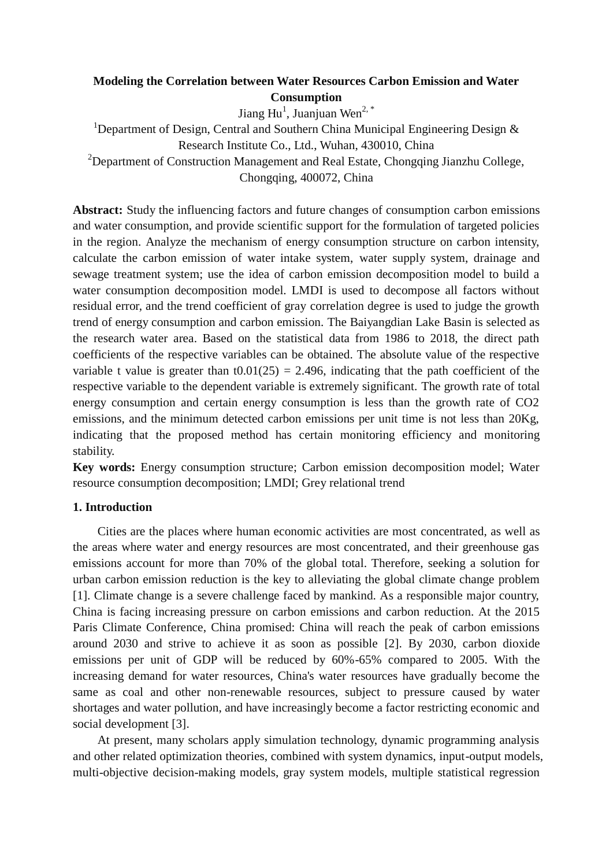# **Modeling the Correlation between Water Resources Carbon Emission and Water Consumption**

Jiang Hu<sup>1</sup>, Juanjuan Wen<sup>2,\*</sup>

<sup>1</sup>Department of Design, Central and Southern China Municipal Engineering Design  $\&$ Research Institute Co., Ltd., Wuhan, 430010, China <sup>2</sup>Department of Construction Management and Real Estate, Chongqing Jianzhu College, Chongqing, 400072, China

**Abstract:** Study the influencing factors and future changes of consumption carbon emissions and water consumption, and provide scientific support for the formulation of targeted policies in the region. Analyze the mechanism of energy consumption structure on carbon intensity, calculate the carbon emission of water intake system, water supply system, drainage and sewage treatment system; use the idea of carbon emission decomposition model to build a water consumption decomposition model. LMDI is used to decompose all factors without residual error, and the trend coefficient of gray correlation degree is used to judge the growth trend of energy consumption and carbon emission. The Baiyangdian Lake Basin is selected as the research water area. Based on the statistical data from 1986 to 2018, the direct path coefficients of the respective variables can be obtained. The absolute value of the respective variable t value is greater than  $t0.01(25) = 2.496$ , indicating that the path coefficient of the respective variable to the dependent variable is extremely significant. The growth rate of total energy consumption and certain energy consumption is less than the growth rate of CO2 emissions, and the minimum detected carbon emissions per unit time is not less than 20Kg, indicating that the proposed method has certain monitoring efficiency and monitoring stability.

**Key words:** Energy consumption structure; Carbon emission decomposition model; Water resource consumption decomposition; LMDI; Grey relational trend

# **1. Introduction**

Cities are the places where human economic activities are most concentrated, as well as the areas where water and energy resources are most concentrated, and their greenhouse gas emissions account for more than 70% of the global total. Therefore, seeking a solution for urban carbon emission reduction is the key to alleviating the global climate change problem [1]. Climate change is a severe challenge faced by mankind. As a responsible major country, China is facing increasing pressure on carbon emissions and carbon reduction. At the 2015 Paris Climate Conference, China promised: China will reach the peak of carbon emissions around 2030 and strive to achieve it as soon as possible [2]. By 2030, carbon dioxide emissions per unit of GDP will be reduced by 60%-65% compared to 2005. With the increasing demand for water resources, China's water resources have gradually become the same as coal and other non-renewable resources, subject to pressure caused by water shortages and water pollution, and have increasingly become a factor restricting economic and social development [3].

At present, many scholars apply simulation technology, dynamic programming analysis and other related optimization theories, combined with system dynamics, input-output models, multi-objective decision-making models, gray system models, multiple statistical regression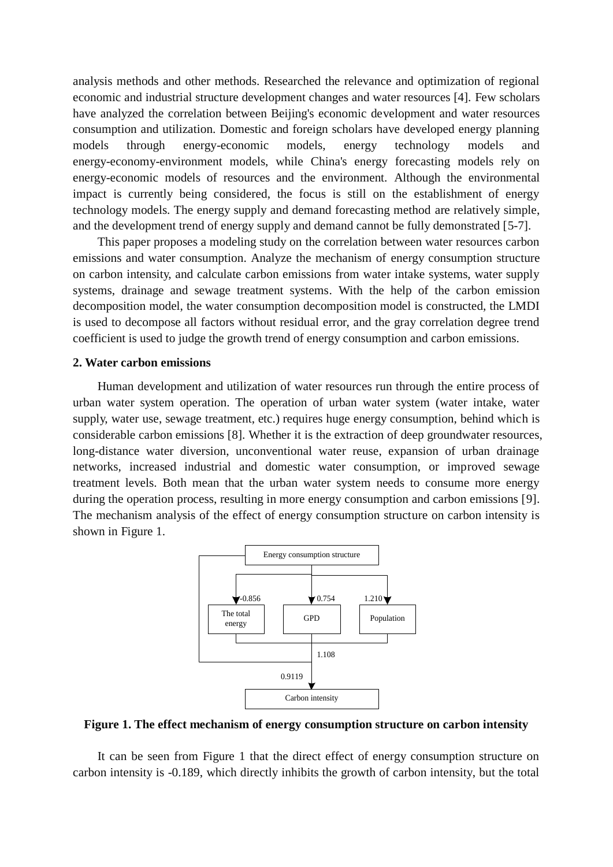analysis methods and other methods. Researched the relevance and optimization of regional economic and industrial structure development changes and water resources [4]. Few scholars have analyzed the correlation between Beijing's economic development and water resources consumption and utilization. Domestic and foreign scholars have developed energy planning models through energy-economic models, energy technology models and energy-economy-environment models, while China's energy forecasting models rely on energy-economic models of resources and the environment. Although the environmental impact is currently being considered, the focus is still on the establishment of energy technology models. The energy supply and demand forecasting method are relatively simple, and the development trend of energy supply and demand cannot be fully demonstrated [5-7].

This paper proposes a modeling study on the correlation between water resources carbon emissions and water consumption. Analyze the mechanism of energy consumption structure on carbon intensity, and calculate carbon emissions from water intake systems, water supply systems, drainage and sewage treatment systems. With the help of the carbon emission decomposition model, the water consumption decomposition model is constructed, the LMDI is used to decompose all factors without residual error, and the gray correlation degree trend coefficient is used to judge the growth trend of energy consumption and carbon emissions.

## **2. Water carbon emissions**

Human development and utilization of water resources run through the entire process of urban water system operation. The operation of urban water system (water intake, water supply, water use, sewage treatment, etc.) requires huge energy consumption, behind which is considerable carbon emissions [8]. Whether it is the extraction of deep groundwater resources, long-distance water diversion, unconventional water reuse, expansion of urban drainage networks, increased industrial and domestic water consumption, or improved sewage treatment levels. Both mean that the urban water system needs to consume more energy during the operation process, resulting in more energy consumption and carbon emissions [9]. The mechanism analysis of the effect of energy consumption structure on carbon intensity is shown in Figure 1.



## **Figure 1. The effect mechanism of energy consumption structure on carbon intensity**

It can be seen from Figure 1 that the direct effect of energy consumption structure on carbon intensity is -0.189, which directly inhibits the growth of carbon intensity, but the total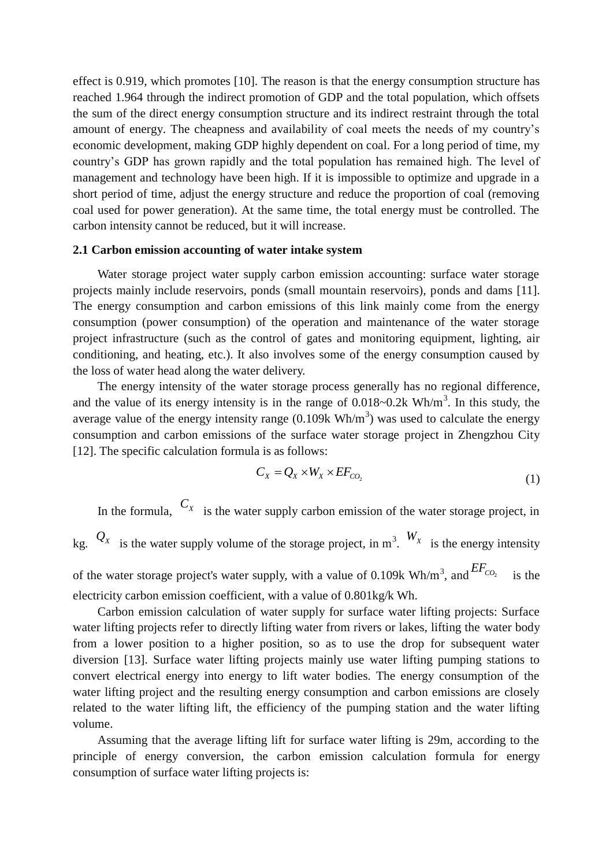effect is 0.919, which promotes [10]. The reason is that the energy consumption structure has reached 1.964 through the indirect promotion of GDP and the total population, which offsets the sum of the direct energy consumption structure and its indirect restraint through the total amount of energy. The cheapness and availability of coal meets the needs of my country's economic development, making GDP highly dependent on coal. For a long period of time, my country's GDP has grown rapidly and the total population has remained high. The level of management and technology have been high. If it is impossible to optimize and upgrade in a short period of time, adjust the energy structure and reduce the proportion of coal (removing coal used for power generation). At the same time, the total energy must be controlled. The carbon intensity cannot be reduced, but it will increase.

## **2.1 Carbon emission accounting of water intake system**

Water storage project water supply carbon emission accounting: surface water storage projects mainly include reservoirs, ponds (small mountain reservoirs), ponds and dams [11]. The energy consumption and carbon emissions of this link mainly come from the energy consumption (power consumption) of the operation and maintenance of the water storage project infrastructure (such as the control of gates and monitoring equipment, lighting, air conditioning, and heating, etc.). It also involves some of the energy consumption caused by the loss of water head along the water delivery.

The energy intensity of the water storage process generally has no regional difference, and the value of its energy intensity is in the range of  $0.018 \sim 0.2k$  Wh/m<sup>3</sup>. In this study, the average value of the energy intensity range  $(0.109kWh/m<sup>3</sup>)$  was used to calculate the energy consumption and carbon emissions of the surface water storage project in Zhengzhou City [12]. The specific calculation formula is as follows:

$$
C_X = Q_X \times W_X \times EF_{CO_2}
$$
 (1)

In the formula,  $C_X$  is the water supply carbon emission of the water storage project, in

kg.  $Q_x$  is the water supply volume of the storage project, in m<sup>3</sup>.  $W_x$  is the energy intensity of the water storage project's water supply, with a value of 0.109k Wh/m<sup>3</sup>, and  $E_{CO_2}$  is the electricity carbon emission coefficient, with a value of 0.801kg/k Wh.

Carbon emission calculation of water supply for surface water lifting projects: Surface water lifting projects refer to directly lifting water from rivers or lakes, lifting the water body from a lower position to a higher position, so as to use the drop for subsequent water diversion [13]. Surface water lifting projects mainly use water lifting pumping stations to convert electrical energy into energy to lift water bodies. The energy consumption of the water lifting project and the resulting energy consumption and carbon emissions are closely related to the water lifting lift, the efficiency of the pumping station and the water lifting volume.

Assuming that the average lifting lift for surface water lifting is 29m, according to the principle of energy conversion, the carbon emission calculation formula for energy consumption of surface water lifting projects is: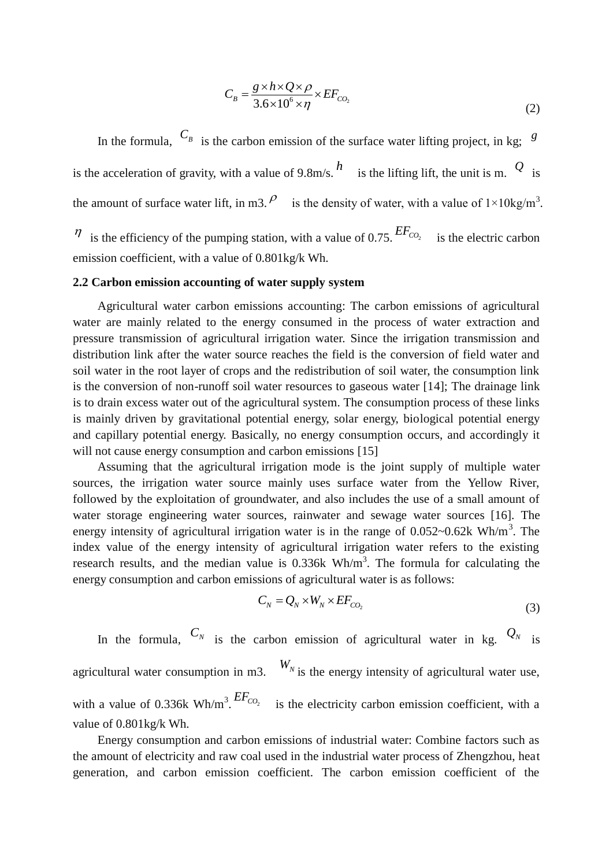$$
C_B = \frac{g \times h \times Q \times \rho}{3.6 \times 10^6 \times \eta} \times EF_{CO_2}
$$
\n(2)

In the formula,  $C_B$  is the carbon emission of the surface water lifting project, in kg;  $\frac{g}{g}$ is the acceleration of gravity, with a value of 9.8m/s.  $h$  is the lifting lift, the unit is m.  $\mathcal{Q}$  is the amount of surface water lift, in m3.  $\frac{\rho}{\rho}$  is the density of water, with a value of  $1 \times 10 \text{kg/m}^3$ .

 $\eta$  is the efficiency of the pumping station, with a value of 0.75.  $\frac{EF_{CO_2}}{EF_{CO_2}}$  is the electric carbon emission coefficient, with a value of 0.801kg/k Wh.

## **2.2 Carbon emission accounting of water supply system**

Agricultural water carbon emissions accounting: The carbon emissions of agricultural water are mainly related to the energy consumed in the process of water extraction and pressure transmission of agricultural irrigation water. Since the irrigation transmission and distribution link after the water source reaches the field is the conversion of field water and soil water in the root layer of crops and the redistribution of soil water, the consumption link is the conversion of non-runoff soil water resources to gaseous water [14]; The drainage link is to drain excess water out of the agricultural system. The consumption process of these links is mainly driven by gravitational potential energy, solar energy, biological potential energy and capillary potential energy. Basically, no energy consumption occurs, and accordingly it will not cause energy consumption and carbon emissions [15]

Assuming that the agricultural irrigation mode is the joint supply of multiple water sources, the irrigation water source mainly uses surface water from the Yellow River, followed by the exploitation of groundwater, and also includes the use of a small amount of water storage engineering water sources, rainwater and sewage water sources [16]. The energy intensity of agricultural irrigation water is in the range of  $0.052 \sim 0.62$ k Wh/m<sup>3</sup>. The index value of the energy intensity of agricultural irrigation water refers to the existing research results, and the median value is  $0.336k$  Wh/m<sup>3</sup>. The formula for calculating the energy consumption and carbon emissions of agricultural water is as follows:

$$
C_N = Q_N \times W_N \times EF_{CO_2}
$$
 (3)

In the formula,  $C_N$  is the carbon emission of agricultural water in kg.  $Q_N$  is agricultural water consumption in m3.  $W_N$  is the energy intensity of agricultural water use, with a value of 0.336k  $Wh/m^3$ .  $EF_{CO_2}$  is the electricity carbon emission coefficient, with a value of 0.801kg/k Wh.

Energy consumption and carbon emissions of industrial water: Combine factors such as the amount of electricity and raw coal used in the industrial water process of Zhengzhou, heat generation, and carbon emission coefficient. The carbon emission coefficient of the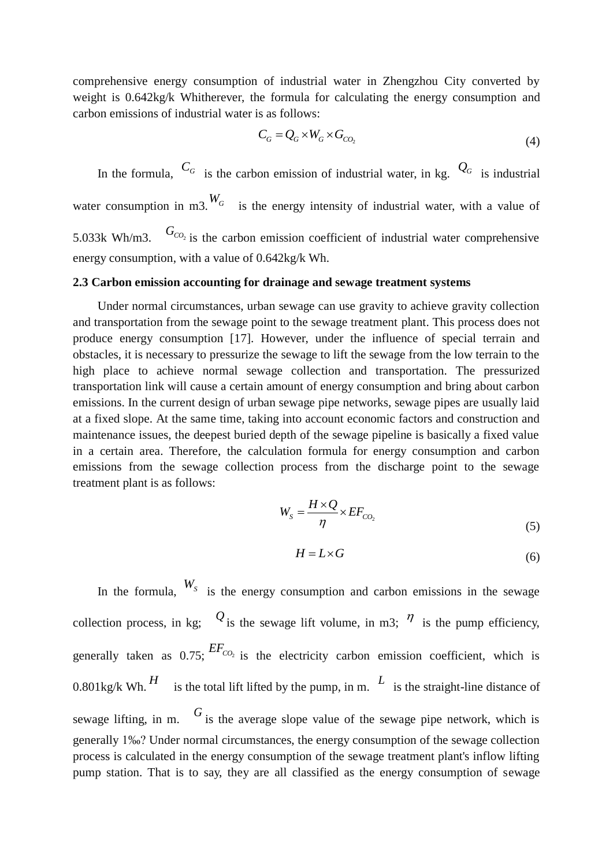comprehensive energy consumption of industrial water in Zhengzhou City converted by weight is 0.642kg/k Whitherever, the formula for calculating the energy consumption and carbon emissions of industrial water is as follows:

$$
C_G = Q_G \times W_G \times G_{CO_2}
$$
\n<sup>(4)</sup>

In the formula,  $C_G$  is the carbon emission of industrial water, in kg.  $Q_G$  is industrial water consumption in m3.  $W_G$  is the energy intensity of industrial water, with a value of 5.033k Wh/m3.  $G_{C_2}$  is the carbon emission coefficient of industrial water comprehensive energy consumption, with a value of 0.642kg/k Wh.

# **2.3 Carbon emission accounting for drainage and sewage treatment systems**

Under normal circumstances, urban sewage can use gravity to achieve gravity collection and transportation from the sewage point to the sewage treatment plant. This process does not produce energy consumption [17]. However, under the influence of special terrain and obstacles, it is necessary to pressurize the sewage to lift the sewage from the low terrain to the high place to achieve normal sewage collection and transportation. The pressurized transportation link will cause a certain amount of energy consumption and bring about carbon emissions. In the current design of urban sewage pipe networks, sewage pipes are usually laid at a fixed slope. At the same time, taking into account economic factors and construction and maintenance issues, the deepest buried depth of the sewage pipeline is basically a fixed value in a certain area. Therefore, the calculation formula for energy consumption and carbon emissions from the sewage collection process from the discharge point to the sewage treatment plant is as follows:

$$
W_{S} = \frac{H \times Q}{\eta} \times EF_{CO_{2}}
$$
\n(5)

$$
H = L \times G \tag{6}
$$

In the formula,  $W_s$  is the energy consumption and carbon emissions in the sewage collection process, in kg;  $\mathcal{Q}_i$  is the sewage lift volume, in m3;  $\eta$  is the pump efficiency, generally taken as 0.75;  $\frac{EF_{CO_2}}{F}$  is the electricity carbon emission coefficient, which is 0.801kg/k Wh.  $^H$  is the total lift lifted by the pump, in m.  $^L$  is the straight-line distance of sewage lifting, in m.  $G$  is the average slope value of the sewage pipe network, which is generally 1‰? Under normal circumstances, the energy consumption of the sewage collection process is calculated in the energy consumption of the sewage treatment plant's inflow lifting pump station. That is to say, they are all classified as the energy consumption of sewage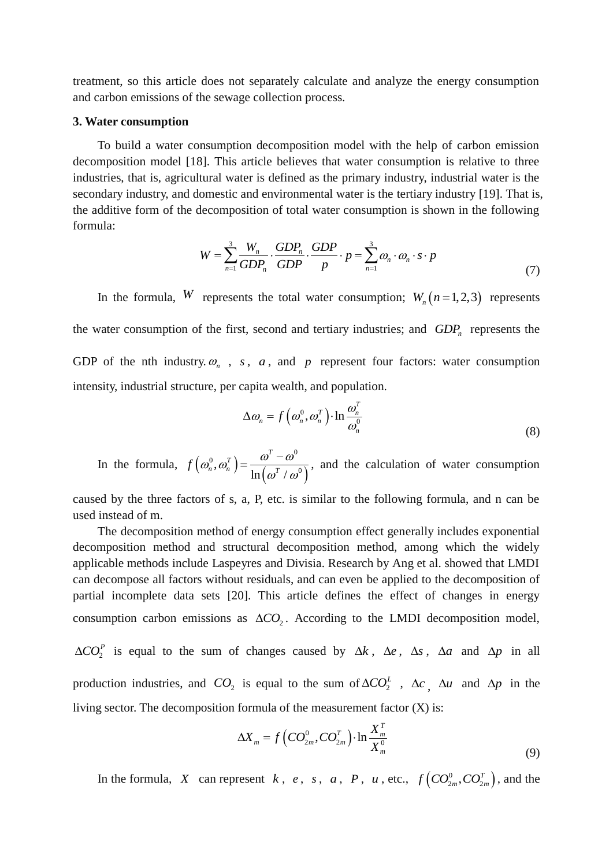treatment, so this article does not separately calculate and analyze the energy consumption and carbon emissions of the sewage collection process.

## **3. Water consumption**

To build a water consumption decomposition model with the help of carbon emission decomposition model [18]. This article believes that water consumption is relative to three industries, that is, agricultural water is defined as the primary industry, industrial water is the secondary industry, and domestic and environmental water is the tertiary industry [19]. That is, the additive form of the decomposition of total water consumption is shown in the following formula:

$$
W = \sum_{n=1}^{3} \frac{W_n}{GDP_n} \cdot \frac{GDP_n}{GDP} \cdot \frac{GDP}{p} \cdot p = \sum_{n=1}^{3} \omega_n \cdot \omega_n \cdot s \cdot p
$$
 (7)

In the formula, W represents the total water consumption;  $W_n(n=1,2,3)$  represents the water consumption of the first, second and tertiary industries; and *GDP<sup>n</sup>* represents the GDP of the nth industry.  $\omega_n$ , s, a, and p represent four factors: water consumption intensity, industrial structure, per capita wealth, and population.

$$
\Delta \omega_n = f\left(\omega_n^0, \omega_n^T\right) \cdot \ln \frac{\omega_n^T}{\omega_n^0}
$$
\n(8)

In the formula,  $f(\omega_n^0, \omega_n^T)$  $\left(\omega^{\prime} / \omega^{\circ}\right)$  $\begin{pmatrix} 0 & \omega^T \end{pmatrix}$   $\begin{pmatrix} \omega^T - \omega^0 \end{pmatrix}$  $(\omega_n^T) = \frac{\omega}{\ln(\omega^T/\omega^0)}$  $f\left(\omega_n^0, \omega_n^T\right) = \frac{\omega^T - \omega^0}{\ln\left(\omega_0^T + \omega_0^0\right)}$  $\overline{\omega^T/\omega^0}$  $=\frac{\omega^T-\omega^0}{\sqrt{T-\omega^2}}$ , and the calculation of water consumption

caused by the three factors of s, a, P, etc. is similar to the following formula, and n can be used instead of m.

The decomposition method of energy consumption effect generally includes exponential decomposition method and structural decomposition method, among which the widely applicable methods include Laspeyres and Divisia. Research by Ang et al. showed that LMDI can decompose all factors without residuals, and can even be applied to the decomposition of partial incomplete data sets [20]. This article defines the effect of changes in energy consumption carbon emissions as  $\Delta CO_2$ . According to the LMDI decomposition model,

 $\Delta CO_2^P$  is equal to the sum of changes caused by  $\Delta k$ ,  $\Delta e$ ,  $\Delta s$ ,  $\Delta a$  and  $\Delta p$  in all production industries, and  $CO_2$  is equal to the sum of  $\Delta CO_2^L$ ,  $\Delta c$ ,  $\Delta u$  and  $\Delta p$  in the living sector. The decomposition formula of the measurement factor  $(X)$  is:

$$
\Delta X_m = f\left(CO_{2m}^0, CO_{2m}^T\right) \cdot \ln \frac{X_m^T}{X_m^0} \tag{9}
$$

In the formula, X can represent  $k$ ,  $e$ ,  $s$ ,  $a$ ,  $P$ ,  $u$ , etc.,  $f\left(CO_{2m}^{0}, CO_{2m}^{T}\right)$ , and the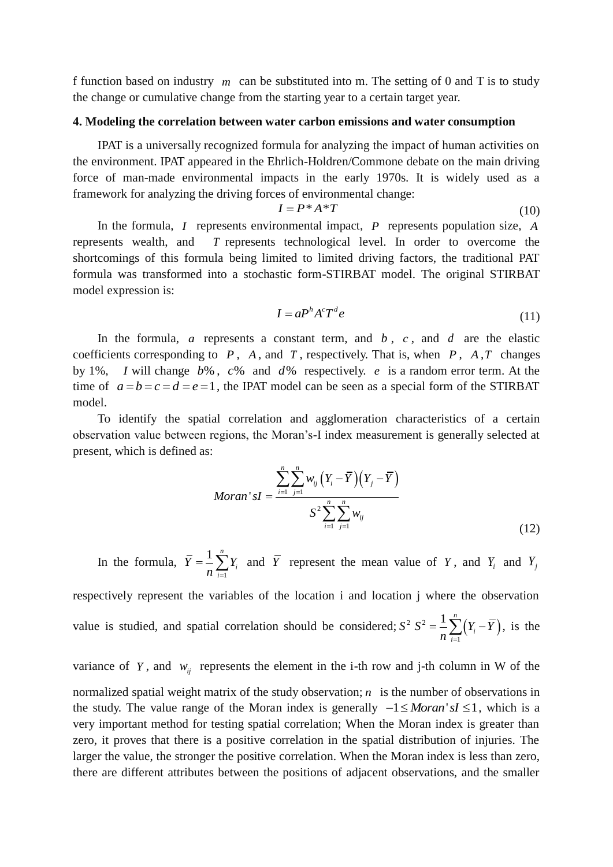f function based on industry *m* can be substituted into m. The setting of 0 and T is to study the change or cumulative change from the starting year to a certain target year.

#### **4. Modeling the correlation between water carbon emissions and water consumption**

IPAT is a universally recognized formula for analyzing the impact of human activities on the environment. IPAT appeared in the Ehrlich-Holdren/Commone debate on the main driving force of man-made environmental impacts in the early 1970s. It is widely used as a framework for analyzing the driving forces of environmental change:

$$
I = P^* A^* T \tag{10}
$$

In the formula, *I* represents environmental impact, *P* represents population size, *A* represents wealth, and *T* represents technological level. In order to overcome the shortcomings of this formula being limited to limited driving factors, the traditional PAT formula was transformed into a stochastic form-STIRBAT model. The original STIRBAT model expression is:

$$
I = aP^h A^c T^d e \tag{11}
$$

In the formula,  $a$  represents a constant term, and  $b$ ,  $c$ , and  $d$  are the elastic coefficients corresponding to  $P$ ,  $A$ , and  $T$ , respectively. That is, when  $P$ ,  $A$ ,  $T$  changes by 1%, *I* will change *b*%, *c*% and *d*% respectively. *e* is a random error term. At the time of  $a = b = c = d = e = 1$ , the IPAT model can be seen as a special form of the STIRBAT model.

To identify the spatial correlation and agglomeration characteristics of a certain observation value between regions, the Moran's-I index measurement is generally selected at present, which is defined as:

:  
\n*Moran'sI* = 
$$
\frac{\sum_{i=1}^{n} \sum_{j=1}^{n} w_{ij} (Y_i - \overline{Y})(Y_j - \overline{Y})}{S^2 \sum_{i=1}^{n} \sum_{j=1}^{n} w_{ij}}
$$
\n(12)

In the formula, 1  $1\frac{n}{2}$ *i i*  $Y = \frac{1}{2} Y$  $=\frac{1}{n}\sum_{i=1}^{n} Y_i$  and  $\overline{Y}$  represent the mean value of Y, and Y<sub>*i*</sub> and Y<sub>*j*</sub>

respectively represent the variables of the location i and location j where the observation value is studied, and spatial correlation should be considered;  $S^2 S^2 = \frac{1}{2} \sum (Y_i - \overline{Y})$ 1  $1\frac{n}{2}$ *i i*  $S^2 = \frac{1}{\sqrt{2}} \sum (Y_i - \bar{Y})$  $=\frac{1}{n}\sum_{i=1}^{n}(Y_i-\overline{Y})$ , is the

variance of Y, and  $w_{ij}$  represents the element in the i-th row and j-th column in W of the normalized spatial weight matrix of the study observation;  $n$  is the number of observations in the study. The value range of the Moran index is generally  $-1 \leq Moran'sI \leq 1$ , which is a very important method for testing spatial correlation; When the Moran index is greater than zero, it proves that there is a positive correlation in the spatial distribution of injuries. The larger the value, the stronger the positive correlation. When the Moran index is less than zero, there are different attributes between the positions of adjacent observations, and the smaller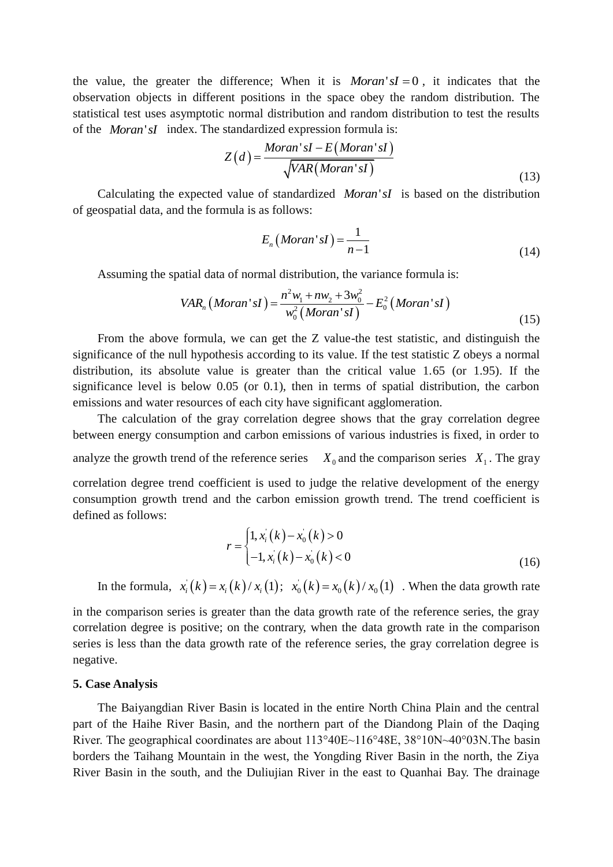the value, the greater the difference; When it is  $Moran'sI = 0$ , it indicates that the observation objects in different positions in the space obey the random distribution. The statistical test uses asymptotic normal distribution and random distribution to test the results of the *Moran'sI* index. The standardized expression formula is:<br> $Z(d) = \frac{Moran'sI - E(Moran'sI)}{P(d)}$ 

$$
Z(d) = \frac{Moran'sI - E(Moran'sI)}{\sqrt{VAR(Moran'sI)}}
$$
\n(13)

Calculating the expected value of standardized *Moran'sI* is based on the distribution of geospatial data, and the formula is as follows:

$$
E_n\big(Moran\,sI\big) = \frac{1}{n-1} \tag{14}
$$

Assuming the spatial data of normal distribution, the variance formula is:  
\n
$$
VAR_n \left( Moran'sI\right) = \frac{n^2 w_1 + n w_2 + 3w_0^2}{w_0^2 \left( Moran'sI\right)} - E_0^2 \left( Moran'sI\right)
$$
\n(15)

From the above formula, we can get the Z value-the test statistic, and distinguish the significance of the null hypothesis according to its value. If the test statistic Z obeys a normal distribution, its absolute value is greater than the critical value 1.65 (or 1.95). If the significance level is below 0.05 (or 0.1), then in terms of spatial distribution, the carbon emissions and water resources of each city have significant agglomeration.

The calculation of the gray correlation degree shows that the gray correlation degree between energy consumption and carbon emissions of various industries is fixed, in order to analyze the growth trend of the reference series  $X_0$  and the comparison series  $X_1$ . The gray correlation degree trend coefficient is used to judge the relative development of the energy consumption growth trend and the carbon emission growth trend. The trend coefficient is defined as follows:

$$
r = \begin{cases} 1, x_i(k) - x_0(k) > 0 \\ -1, x_i(k) - x_0(k) < 0 \end{cases}
$$
 (16)

In the formula,  $x_i(k) = x_i(k)/x_i(1)$  $x_i^{\prime}(k) = x_i(k)/x_i(1); x_0^{\prime}(k) = x_0(k)/x_0(1)$  $x_0(k) = x_0(k)/x_0(1)$ . When the data growth rate

in the comparison series is greater than the data growth rate of the reference series, the gray correlation degree is positive; on the contrary, when the data growth rate in the comparison series is less than the data growth rate of the reference series, the gray correlation degree is negative.

## **5. Case Analysis**

The Baiyangdian River Basin is located in the entire North China Plain and the central part of the Haihe River Basin, and the northern part of the Diandong Plain of the Daqing River. The geographical coordinates are about 113°40E~116°48E, 38°10N~40°03N.The basin borders the Taihang Mountain in the west, the Yongding River Basin in the north, the Ziya River Basin in the south, and the Duliujian River in the east to Quanhai Bay. The drainage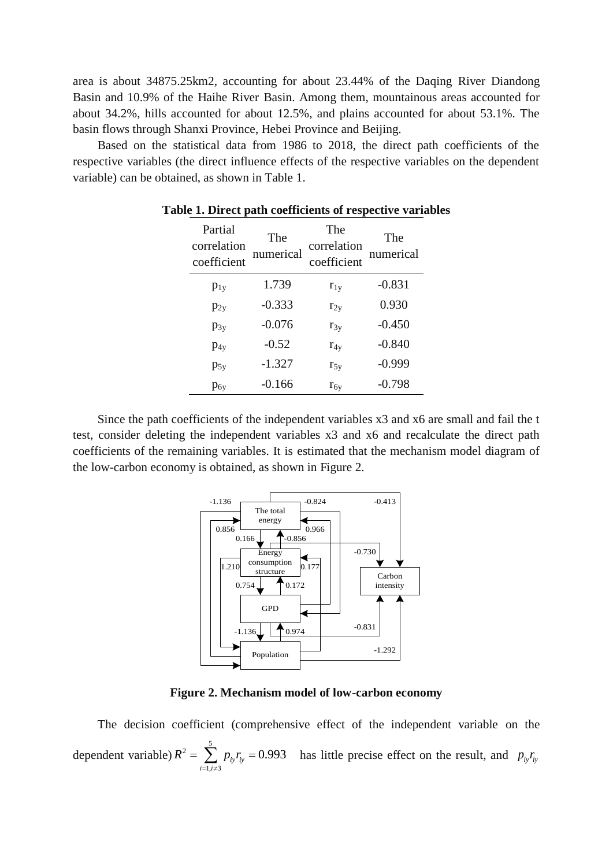area is about 34875.25km2, accounting for about 23.44% of the Daqing River Diandong Basin and 10.9% of the Haihe River Basin. Among them, mountainous areas accounted for about 34.2%, hills accounted for about 12.5%, and plains accounted for about 53.1%. The basin flows through Shanxi Province, Hebei Province and Beijing.

Based on the statistical data from 1986 to 2018, the direct path coefficients of the respective variables (the direct influence effects of the respective variables on the dependent variable) can be obtained, as shown in Table 1.

| Partial<br>correlation<br>coefficient | The<br>numerical | The<br>correlation<br>coefficient | The<br>numerical |
|---------------------------------------|------------------|-----------------------------------|------------------|
| $p_{1y}$                              | 1.739            | $r_{1y}$                          | $-0.831$         |
| $p_{2y}$                              | $-0.333$         | $r_{2y}$                          | 0.930            |
| $p_{3y}$                              | $-0.076$         | $r_{3y}$                          | $-0.450$         |
| $p_{4y}$                              | $-0.52$          | $r_{4y}$                          | $-0.840$         |
| $p_{5y}$                              | $-1.327$         | $r_{5y}$                          | $-0.999$         |
| $p_{6y}$                              | $-0.166$         | $r_{6v}$                          | $-0.798$         |

**Table 1. Direct path coefficients of respective variables**

Since the path coefficients of the independent variables x3 and x6 are small and fail the t test, consider deleting the independent variables x3 and x6 and recalculate the direct path coefficients of the remaining variables. It is estimated that the mechanism model diagram of the low-carbon economy is obtained, as shown in Figure 2.



**Figure 2. Mechanism model of low-carbon economy**

The decision coefficient (comprehensive effect of the independent variable on the dependent variable) 2  $\frac{5}{5}$  $\frac{1}{1, i \neq 3}$  $r_{iy} = 0.993$  $\sum_{i=1,i}$  $R^2 = \sum_{i=1}^{5} p_{i} r_i$  $=\sum_{i=1, i\neq 3}^{5} p_{i y} r_{i y} = 0.993$  has little precise effect on the result, and  $p_{i y} r_{i y}$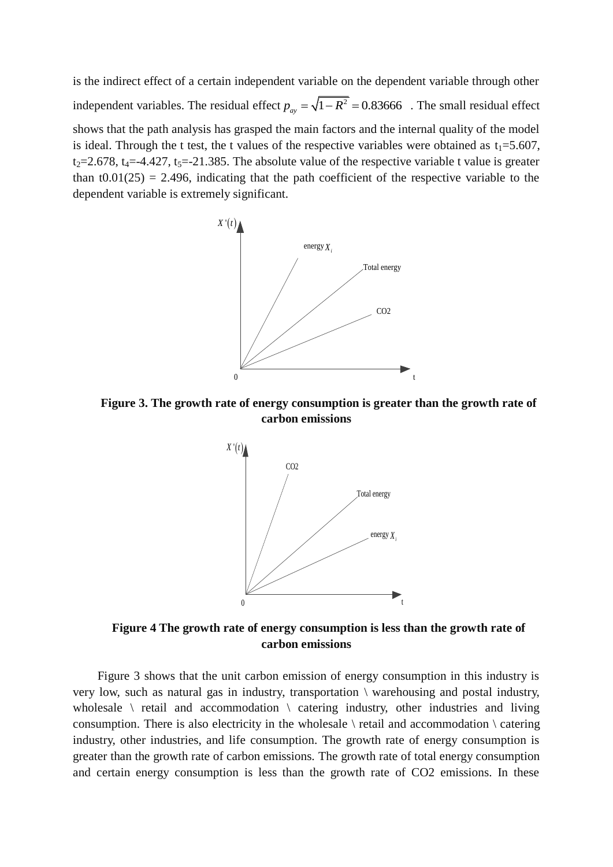is the indirect effect of a certain independent variable on the dependent variable through other independent variables. The residual effect  $p_{ay} = \sqrt{1 - R^2} = 0.83666$ . The small residual effect shows that the path analysis has grasped the main factors and the internal quality of the model is ideal. Through the t test, the t values of the respective variables were obtained as  $t_1 = 5.607$ ,  $t_2$ =2.678,  $t_4$ =-4.427,  $t_5$ =-21.385. The absolute value of the respective variable t value is greater than  $t0.01(25) = 2.496$ , indicating that the path coefficient of the respective variable to the dependent variable is extremely significant.



**Figure 3. The growth rate of energy consumption is greater than the growth rate of carbon emissions**



**Figure 4 The growth rate of energy consumption is less than the growth rate of carbon emissions**

Figure 3 shows that the unit carbon emission of energy consumption in this industry is very low, such as natural gas in industry, transportation \ warehousing and postal industry, wholesale  $\langle$  retail and accommodation  $\langle$  catering industry, other industries and living consumption. There is also electricity in the wholesale  $\$ retail and accommodation  $\$ catering industry, other industries, and life consumption. The growth rate of energy consumption is greater than the growth rate of carbon emissions. The growth rate of total energy consumption and certain energy consumption is less than the growth rate of CO2 emissions. In these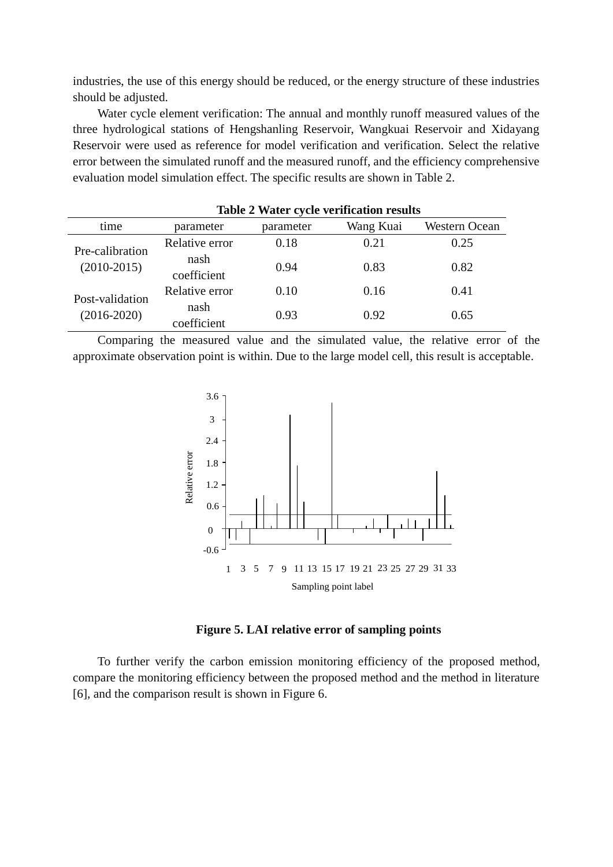industries, the use of this energy should be reduced, or the energy structure of these industries should be adjusted.

Water cycle element verification: The annual and monthly runoff measured values of the three hydrological stations of Hengshanling Reservoir, Wangkuai Reservoir and Xidayang Reservoir were used as reference for model verification and verification. Select the relative error between the simulated runoff and the measured runoff, and the efficiency comprehensive evaluation model simulation effect. The specific results are shown in Table 2.

|                                    |                     |           | $\frac{1}{2}$ $\frac{1}{2}$ $\frac{1}{2}$ $\frac{1}{2}$ $\frac{1}{2}$ $\frac{1}{2}$ $\frac{1}{2}$ $\frac{1}{2}$ $\frac{1}{2}$ $\frac{1}{2}$ $\frac{1}{2}$ $\frac{1}{2}$ $\frac{1}{2}$ $\frac{1}{2}$ $\frac{1}{2}$ $\frac{1}{2}$ $\frac{1}{2}$ $\frac{1}{2}$ $\frac{1}{2}$ $\frac{1}{2}$ $\frac{1}{2}$ $\frac{1}{2}$ |                      |
|------------------------------------|---------------------|-----------|---------------------------------------------------------------------------------------------------------------------------------------------------------------------------------------------------------------------------------------------------------------------------------------------------------------------|----------------------|
| time                               | parameter           | parameter | Wang Kuai                                                                                                                                                                                                                                                                                                           | <b>Western Ocean</b> |
| Pre-calibration<br>$(2010-2015)$   | Relative error      | 0.18      | 0.21                                                                                                                                                                                                                                                                                                                | 0.25                 |
|                                    | nash<br>coefficient | 0.94      | 0.83                                                                                                                                                                                                                                                                                                                | 0.82                 |
| Post-validation<br>$(2016 - 2020)$ | Relative error      | 0.10      | 0.16                                                                                                                                                                                                                                                                                                                | 0.41                 |
|                                    | nash<br>coefficient | 0.93      | 0.92                                                                                                                                                                                                                                                                                                                | 0.65                 |

| Table 2 Water cycle verification results |  |  |
|------------------------------------------|--|--|
|------------------------------------------|--|--|

Comparing the measured value and the simulated value, the relative error of the approximate observation point is within. Due to the large model cell, this result is acceptable.



**Figure 5. LAI relative error of sampling points**

To further verify the carbon emission monitoring efficiency of the proposed method, compare the monitoring efficiency between the proposed method and the method in literature [6], and the comparison result is shown in Figure 6.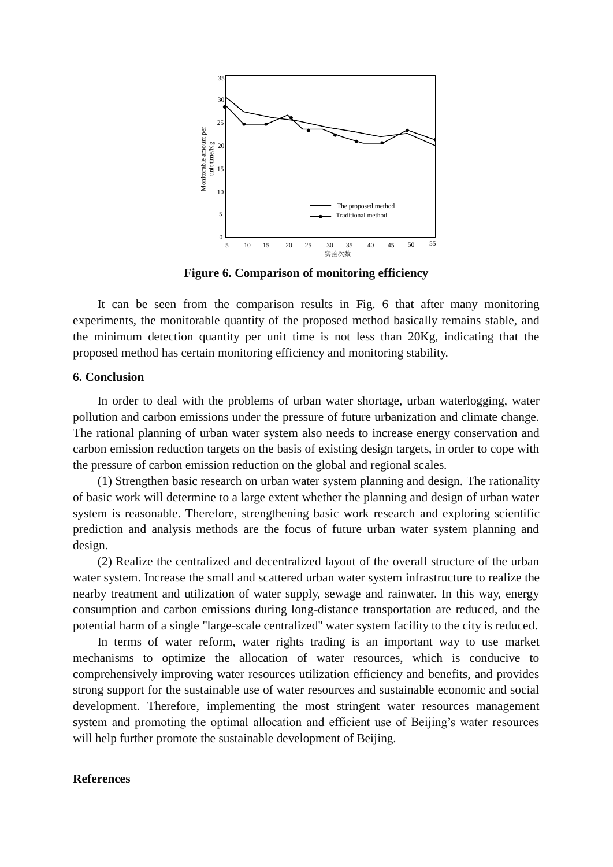

**Figure 6. Comparison of monitoring efficiency**

It can be seen from the comparison results in Fig. 6 that after many monitoring experiments, the monitorable quantity of the proposed method basically remains stable, and the minimum detection quantity per unit time is not less than 20Kg, indicating that the proposed method has certain monitoring efficiency and monitoring stability.

## **6. Conclusion**

In order to deal with the problems of urban water shortage, urban waterlogging, water pollution and carbon emissions under the pressure of future urbanization and climate change. The rational planning of urban water system also needs to increase energy conservation and carbon emission reduction targets on the basis of existing design targets, in order to cope with the pressure of carbon emission reduction on the global and regional scales.

(1) Strengthen basic research on urban water system planning and design. The rationality of basic work will determine to a large extent whether the planning and design of urban water system is reasonable. Therefore, strengthening basic work research and exploring scientific prediction and analysis methods are the focus of future urban water system planning and design.

(2) Realize the centralized and decentralized layout of the overall structure of the urban water system. Increase the small and scattered urban water system infrastructure to realize the nearby treatment and utilization of water supply, sewage and rainwater. In this way, energy consumption and carbon emissions during long-distance transportation are reduced, and the potential harm of a single "large-scale centralized" water system facility to the city is reduced.

In terms of water reform, water rights trading is an important way to use market mechanisms to optimize the allocation of water resources, which is conducive to comprehensively improving water resources utilization efficiency and benefits, and provides strong support for the sustainable use of water resources and sustainable economic and social development. Therefore, implementing the most stringent water resources management system and promoting the optimal allocation and efficient use of Beijing's water resources will help further promote the sustainable development of Beijing.

## **References**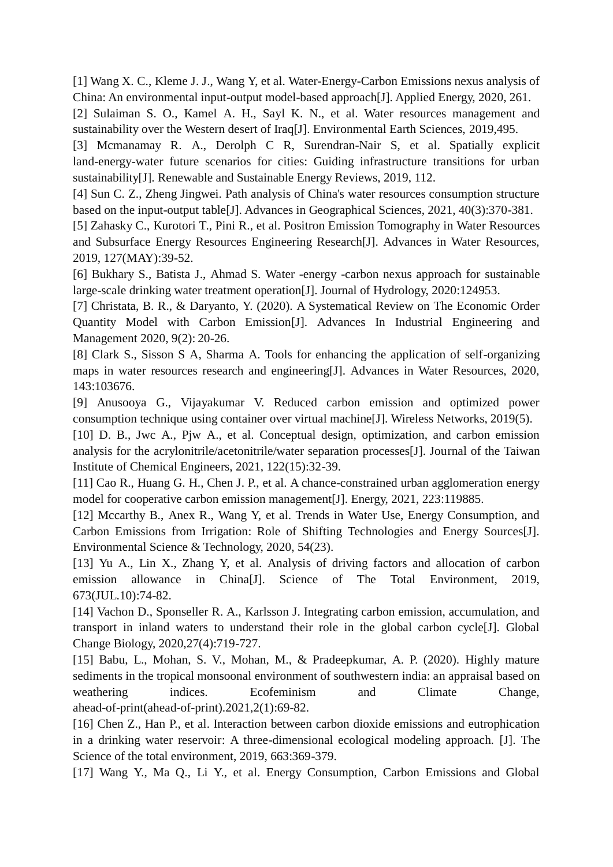[1] Wang X. C., Kleme J. J., Wang Y, et al. Water-Energy-Carbon Emissions nexus analysis of China: An environmental input-output model-based approach[J]. Applied Energy, 2020, 261.

[2] Sulaiman S. O., Kamel A. H., Sayl K. N., et al. Water resources management and sustainability over the Western desert of Iraq[J]. Environmental Earth Sciences, 2019,495.

[3] Mcmanamay R. A., Derolph C R, Surendran-Nair S, et al. Spatially explicit land-energy-water future scenarios for cities: Guiding infrastructure transitions for urban sustainability[J]. Renewable and Sustainable Energy Reviews, 2019, 112.

[4] Sun C. Z., Zheng Jingwei. Path analysis of China's water resources consumption structure based on the input-output table[J]. Advances in Geographical Sciences, 2021, 40(3):370-381.

[5] Zahasky C., Kurotori T., Pini R., et al. Positron Emission Tomography in Water Resources and Subsurface Energy Resources Engineering Research[J]. Advances in Water Resources, 2019, 127(MAY):39-52.

[6] Bukhary S., Batista J., Ahmad S. Water -energy -carbon nexus approach for sustainable large-scale drinking water treatment operation[J]. Journal of Hydrology, 2020:124953.

[7] Christata, B. R., & Daryanto, Y. (2020). A Systematical Review on The Economic Order Quantity Model with Carbon Emission[J]. Advances In Industrial Engineering and Management 2020, 9(2): 20-26.

[8] Clark S., Sisson S A, Sharma A. Tools for enhancing the application of self-organizing maps in water resources research and engineering[J]. Advances in Water Resources, 2020, 143:103676.

[9] Anusooya G., Vijayakumar V. Reduced carbon emission and optimized power consumption technique using container over virtual machine[J]. Wireless Networks, 2019(5).

[10] D. B., Jwc A., Pjw A., et al. Conceptual design, optimization, and carbon emission analysis for the acrylonitrile/acetonitrile/water separation processes[J]. Journal of the Taiwan Institute of Chemical Engineers, 2021, 122(15):32-39.

[11] Cao R., Huang G. H., Chen J. P., et al. A chance-constrained urban agglomeration energy model for cooperative carbon emission management[J]. Energy, 2021, 223:119885.

[12] Mccarthy B., Anex R., Wang Y, et al. Trends in Water Use, Energy Consumption, and Carbon Emissions from Irrigation: Role of Shifting Technologies and Energy Sources[J]. Environmental Science & Technology, 2020, 54(23).

[13] Yu A., Lin X., Zhang Y, et al. Analysis of driving factors and allocation of carbon emission allowance in China[J]. Science of The Total Environment, 2019, 673(JUL.10):74-82.

[14] Vachon D., Sponseller R. A., Karlsson J. Integrating carbon emission, accumulation, and transport in inland waters to understand their role in the global carbon cycle[J]. Global Change Biology, 2020,27(4):719-727.

[15] Babu, L., Mohan, S. V., Mohan, M., & Pradeepkumar, A. P. (2020). Highly mature sediments in the tropical monsoonal environment of southwestern india: an appraisal based on weathering indices. Ecofeminism and Climate Change, ahead-of-print(ahead-of-print).2021,2(1):69-82.

[16] Chen Z., Han P., et al. Interaction between carbon dioxide emissions and eutrophication in a drinking water reservoir: A three-dimensional ecological modeling approach. [J]. The Science of the total environment, 2019, 663:369-379.

[17] Wang Y., Ma Q., Li Y., et al. Energy Consumption, Carbon Emissions and Global